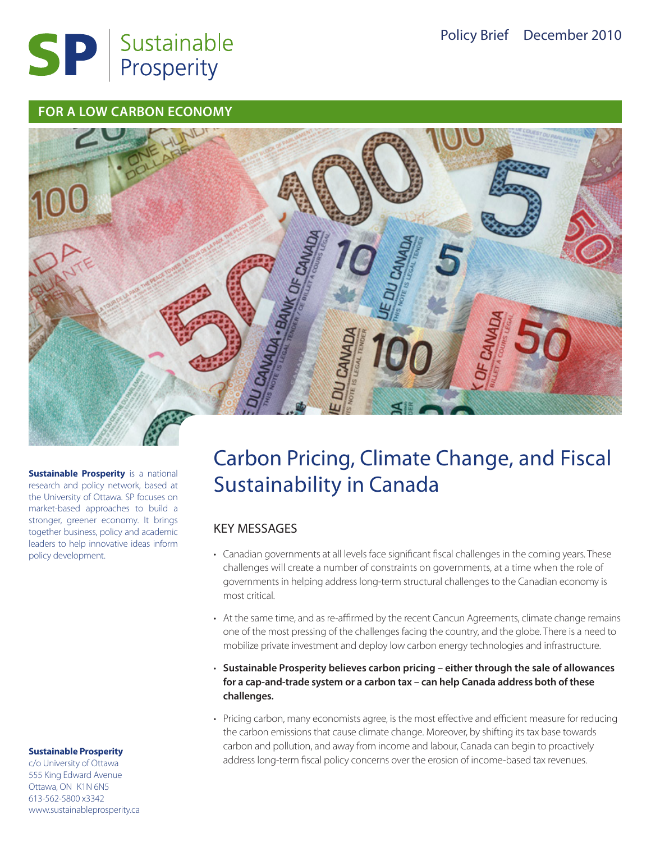

#### **FOR A LOW CARBON ECONOMY**



**Sustainable Prosperity** is a national research and policy network, based at the University of Ottawa. SP focuses on market-based approaches to build a stronger, greener economy. It brings together business, policy and academic leaders to help innovative ideas inform policy development.

#### **Sustainable Prosperity**

c/o University of Ottawa 555 King Edward Avenue Ottawa, ON K1N 6N5 613-562-5800 x3342 www.sustainableprosperity.ca

# Carbon Pricing, Climate Change, and Fiscal Sustainability in Canada

### KEY MESSAGES

- • Canadian governments at all levels face significant fiscal challenges in the coming years. These challenges will create a number of constraints on governments, at a time when the role of governments in helping address long-term structural challenges to the Canadian economy is most critical.
- At the same time, and as re-affirmed by the recent Cancun Agreements, climate change remains one of the most pressing of the challenges facing the country, and the globe. There is a need to mobilize private investment and deploy low carbon energy technologies and infrastructure.
- • **Sustainable Prosperity believes carbon pricing either through the sale of allowances for a cap-and-trade system or a carbon tax – can help Canada address both of these challenges.**
- • Pricing carbon, many economists agree, is the most effective and efficient measure for reducing the carbon emissions that cause climate change. Moreover, by shifting its tax base towards carbon and pollution, and away from income and labour, Canada can begin to proactively address long-term fiscal policy concerns over the erosion of income-based tax revenues.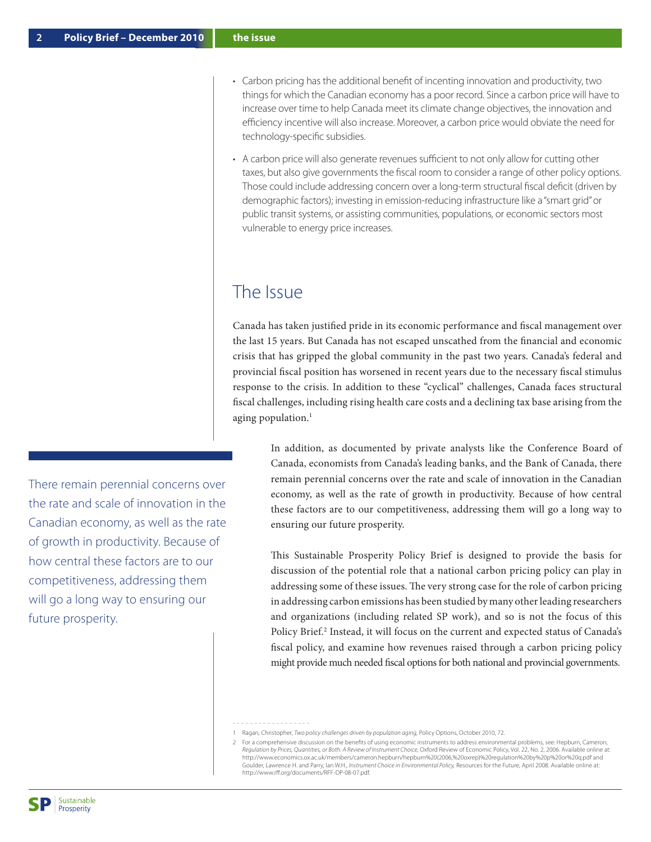There remain perennial concerns over the rate and scale of innovation in the Canadian economy, as well as the rate of growth in productivity. Because of how central these factors are to our competitiveness, addressing them will go a long way to ensuring our

- • Carbon pricing has the additional benefit of incenting innovation and productivity, two things for which the Canadian economy has a poor record. Since a carbon price will have to increase over time to help Canada meet its climate change objectives, the innovation and efficiency incentive will also increase. Moreover, a carbon price would obviate the need for
	- • A carbon price will also generate revenues sufficient to not only allow for cutting other taxes, but also give governments the fiscal room to consider a range of other policy options. Those could include addressing concern over a long-term structural fiscal deficit (driven by demographic factors); investing in emission-reducing infrastructure like a "smart grid" or public transit systems, or assisting communities, populations, or economic sectors most vulnerable to energy price increases.

### The Issue

technology-specific subsidies.

Canada has taken justified pride in its economic performance and fiscal management over the last 15 years. But Canada has not escaped unscathed from the financial and economic crisis that has gripped the global community in the past two years. Canada's federal and provincial fiscal position has worsened in recent years due to the necessary fiscal stimulus response to the crisis. In addition to these "cyclical" challenges, Canada faces structural fiscal challenges, including rising health care costs and a declining tax base arising from the aging population. $<sup>1</sup>$ </sup>

In addition, as documented by private analysts like the Conference Board of Canada, economists from Canada's leading banks, and the Bank of Canada, there remain perennial concerns over the rate and scale of innovation in the Canadian economy, as well as the rate of growth in productivity. Because of how central these factors are to our competitiveness, addressing them will go a long way to ensuring our future prosperity.

This Sustainable Prosperity Policy Brief is designed to provide the basis for discussion of the potential role that a national carbon pricing policy can play in addressing some of these issues. The very strong case for the role of carbon pricing in addressing carbon emissions has been studied by many other leading researchers and organizations (including related SP work), and so is not the focus of this Policy Brief.<sup>2</sup> Instead, it will focus on the current and expected status of Canada's fiscal policy, and examine how revenues raised through a carbon pricing policy might provide much needed fiscal options for both national and provincial governments.

future prosperity.

<sup>1</sup> Ragan, Christopher, *Two policy challenges driven by population aging,* Policy Options, October 2010, 72.

<sup>2</sup> For a comprehensive discussion on the benefits of using economic instruments to address environmental problems, see: Hepburn, Cameron, *Regulation by Prices, Quantities, or Both: A Review of Instrument Choice,* Oxford Review of Economic Policy, Vol. 22, No. 2, 2006. Available online at: http://www.economics.ox.ac.uk/members/cameron.hepburn/hepburn%20(2006,%20oxrep)%20regulation%20by%20p%20or%20q.pdf and Goulder, Lawrence H. and Parry, Ian W.H., *Instrument Choice in Environmental Policy,* Resources for the Future, April 2008. Available online at: http://www.rff.org/documents/RFF-DP-08-07.pdf.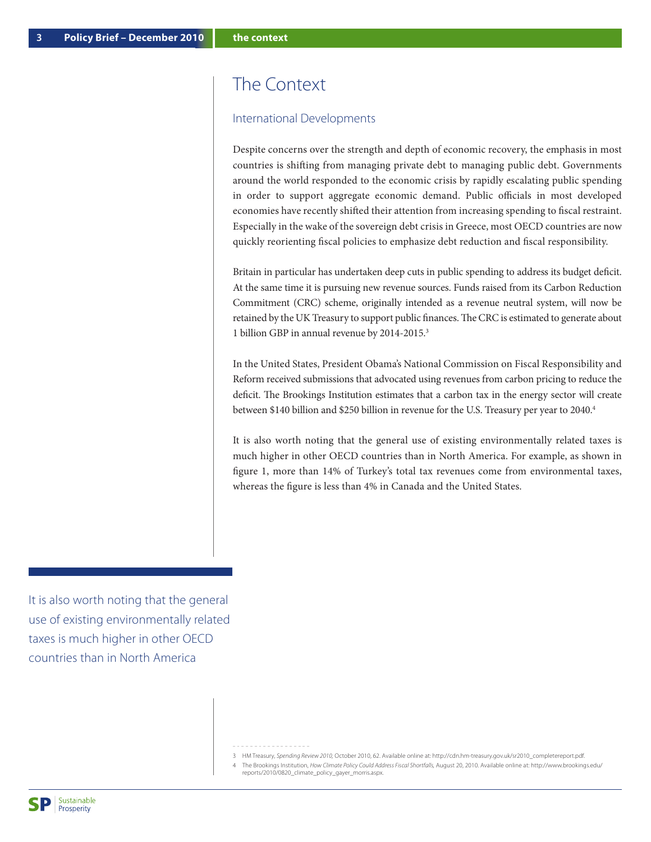## The Context

#### International Developments

Despite concerns over the strength and depth of economic recovery, the emphasis in most countries is shifting from managing private debt to managing public debt. Governments around the world responded to the economic crisis by rapidly escalating public spending in order to support aggregate economic demand. Public officials in most developed economies have recently shifted their attention from increasing spending to fiscal restraint. Especially in the wake of the sovereign debt crisis in Greece, most OECD countries are now quickly reorienting fiscal policies to emphasize debt reduction and fiscal responsibility.

Britain in particular has undertaken deep cuts in public spending to address its budget deficit. At the same time it is pursuing new revenue sources. Funds raised from its Carbon Reduction Commitment (CRC) scheme, originally intended as a revenue neutral system, will now be retained by the UK Treasury to support public finances. The CRC is estimated to generate about 1 billion GBP in annual revenue by 2014-2015.3

In the United States, President Obama's National Commission on Fiscal Responsibility and Reform received submissions that advocated using revenues from carbon pricing to reduce the deficit. The Brookings Institution estimates that a carbon tax in the energy sector will create between \$140 billion and \$250 billion in revenue for the U.S. Treasury per year to 2040.<sup>4</sup>

It is also worth noting that the general use of existing environmentally related taxes is much higher in other OECD countries than in North America. For example, as shown in figure 1, more than 14% of Turkey's total tax revenues come from environmental taxes, whereas the figure is less than 4% in Canada and the United States.

It is also worth noting that the general use of existing environmentally related taxes is much higher in other OECD countries than in North America

3 HM Treasury, *Spending Review 2010,* October 2010, 62. Available online at: http://cdn.hm-treasury.gov.uk/sr2010\_completereport.pdf.

4 The Brookings Institution, *How Climate Policy Could Address Fiscal Shortfalls,* August 20, 2010. Available online at: http://www.brookings.edu/ reports/2010/0820\_climate\_policy\_gayer\_morris.aspx.

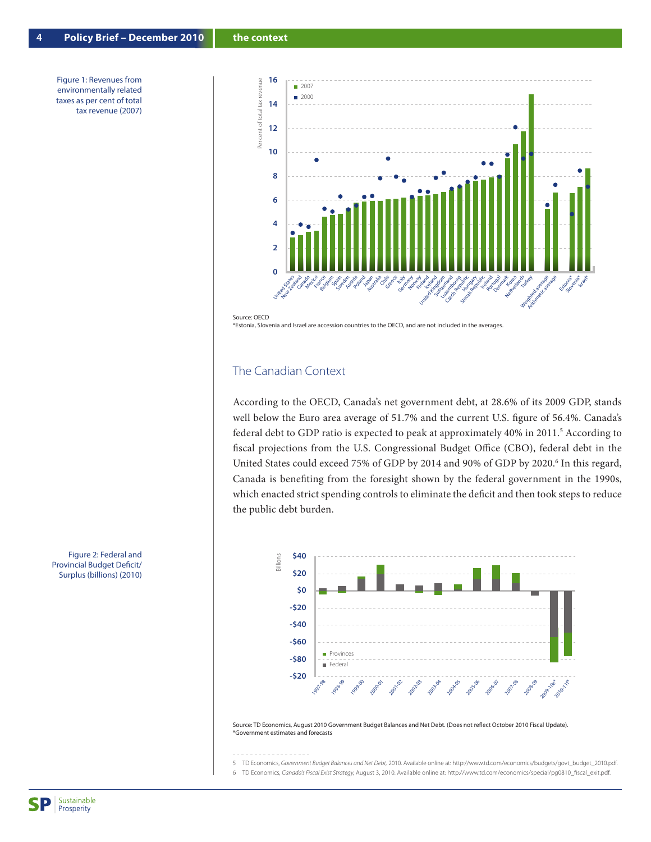Figure 1: Revenues from environmentally related taxes as per cent of total tax revenue (2007)



Source: OECD

\*Estonia, Slovenia and Israel are accession countries to the OECD, and are not included in the averages.

#### The Canadian Context

According to the OECD, Canada's net government debt, at 28.6% of its 2009 GDP, stands well below the Euro area average of 51.7% and the current U.S. figure of 56.4%. Canada's federal debt to GDP ratio is expected to peak at approximately 40% in 2011.<sup>5</sup> According to fiscal projections from the U.S. Congressional Budget Office (CBO), federal debt in the United States could exceed 75% of GDP by 2014 and 90% of GDP by 2020.<sup>6</sup> In this regard, Canada is benefiting from the foresight shown by the federal government in the 1990s, which enacted strict spending controls to eliminate the deficit and then took steps to reduce the public debt burden.



Source: TD Economics, August 2010 Government Budget Balances and Net Debt. (Does not reflect October 2010 Fiscal Update). \*Government estimates and forecasts

5 TD Economics, *Government Budget Balances and Net Debt,* 2010. Available online at: http://www.td.com/economics/budgets/govt\_budget\_2010.pdf.

6 TD Economics, *Canada's Fiscal Exist Strategy,* August 3, 2010. Available online at: http://www.td.com/economics/special/pg0810\_fiscal\_exit.pdf.

Figure 2: Federal and Provincial Budget Deficit/ Surplus (billions) (2010)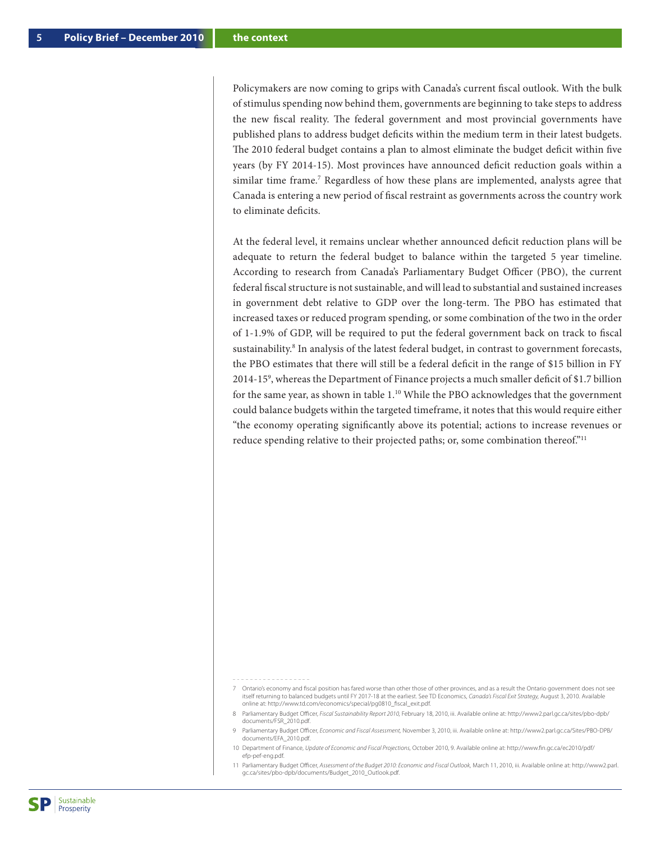Policymakers are now coming to grips with Canada's current fiscal outlook. With the bulk of stimulus spending now behind them, governments are beginning to take steps to address the new fiscal reality. The federal government and most provincial governments have published plans to address budget deficits within the medium term in their latest budgets. The 2010 federal budget contains a plan to almost eliminate the budget deficit within five years (by FY 2014-15). Most provinces have announced deficit reduction goals within a similar time frame.<sup>7</sup> Regardless of how these plans are implemented, analysts agree that Canada is entering a new period of fiscal restraint as governments across the country work to eliminate deficits.

At the federal level, it remains unclear whether announced deficit reduction plans will be adequate to return the federal budget to balance within the targeted 5 year timeline. According to research from Canada's Parliamentary Budget Officer (PBO), the current federal fiscal structure is not sustainable, and will lead to substantial and sustained increases in government debt relative to GDP over the long-term. The PBO has estimated that increased taxes or reduced program spending, or some combination of the two in the order of 1-1.9% of GDP, will be required to put the federal government back on track to fiscal sustainability.<sup>8</sup> In analysis of the latest federal budget, in contrast to government forecasts, the PBO estimates that there will still be a federal deficit in the range of \$15 billion in FY 2014-159 , whereas the Department of Finance projects a much smaller deficit of \$1.7 billion for the same year, as shown in table 1.10 While the PBO acknowledges that the government could balance budgets within the targeted timeframe, it notes that this would require either "the economy operating significantly above its potential; actions to increase revenues or reduce spending relative to their projected paths; or, some combination thereof."11

- 
- 7 Ontario's economy and fiscal position has fared worse than other those of other provinces, and as a result the Ontario government does not see itself returning to balanced budgets until FY 2017-18 at the earliest. See TD Economics, *Canada's Fiscal Exit Strategy,* August 3, 2010. Available online at: http://www.td.com/economics/special/pg0810\_fiscal\_exit.pdf.
- 8 Parliamentary Budget Officer, *Fiscal Sustainability Report 2010,* February 18, 2010, iii. Available online at: http://www2.parl.gc.ca/sites/pbo-dpb/ documents/FSR\_2010.pdf.
- 9 Parliamentary Budget Officer, *Economic and Fiscal Assessment,* November 3, 2010, iii. Available online at: http://www2.parl.gc.ca/Sites/PBO-DPB/ documents/EFA\_2010.pdf.
- 10 Department of Finance, *Update of Economic and Fiscal Projections,* October 2010, 9. Available online at: http://www.fin.gc.ca/ec2010/pdf/ efp-pef-eng.pdf.
- 11 Parliamentary Budget Officer, *Assessment of the Budget 2010: Economic and Fiscal Outlook,* March 11, 2010, iii. Available online at: http://www2.parl. gc.ca/sites/pbo-dpb/documents/Budget\_2010\_Outlook.pdf.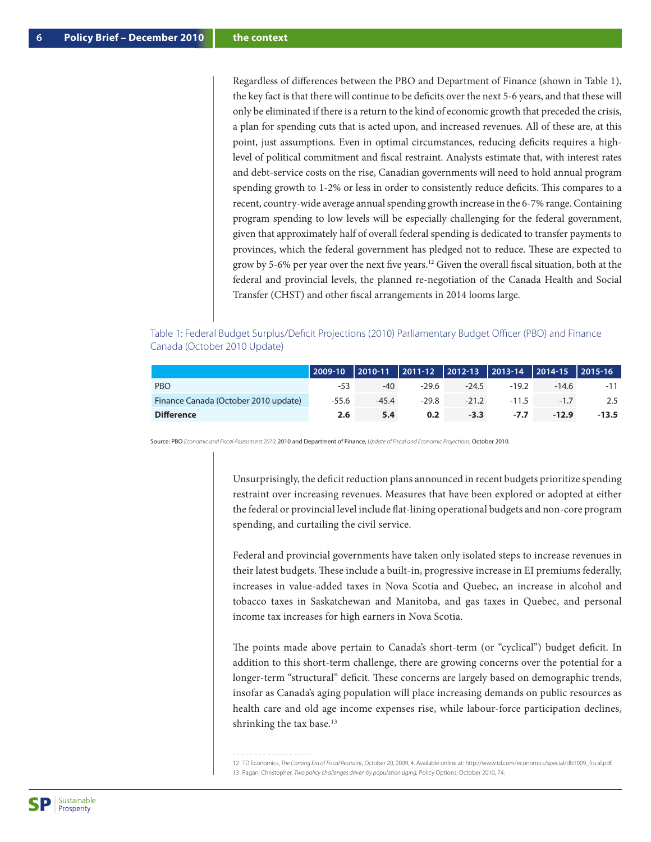Regardless of differences between the PBO and Department of Finance (shown in Table 1), the key fact is that there will continue to be deficits over the next 5-6 years, and that these will only be eliminated if there is a return to the kind of economic growth that preceded the crisis, a plan for spending cuts that is acted upon, and increased revenues. All of these are, at this point, just assumptions. Even in optimal circumstances, reducing deficits requires a highlevel of political commitment and fiscal restraint. Analysts estimate that, with interest rates and debt-service costs on the rise, Canadian governments will need to hold annual program spending growth to 1-2% or less in order to consistently reduce deficits. This compares to a recent, country-wide average annual spending growth increase in the 6-7% range. Containing program spending to low levels will be especially challenging for the federal government, given that approximately half of overall federal spending is dedicated to transfer payments to provinces, which the federal government has pledged not to reduce. These are expected to grow by 5-6% per year over the next five years.12 Given the overall fiscal situation, both at the federal and provincial levels, the planned re-negotiation of the Canada Health and Social Transfer (CHST) and other fiscal arrangements in 2014 looms large.

#### Table 1: Federal Budget Surplus/Deficit Projections (2010) Parliamentary Budget Officer (PBO) and Finance Canada (October 2010 Update)

|                                      | 2009-10 2010-11 2011-12 2012-13 2013-14 2014-15 2015-16 |         |         |        |                        |         |         |
|--------------------------------------|---------------------------------------------------------|---------|---------|--------|------------------------|---------|---------|
| <b>PBO</b>                           | $-53$                                                   | -40     | $-29.6$ |        | $-24.5$ $-19.2$        | $-14.6$ | $-11$   |
| Finance Canada (October 2010 update) | -55.6                                                   | $-45.4$ | $-29.8$ |        | $-21.2$ $-11.5$ $-1.7$ |         | 2.5     |
| <b>Difference</b>                    | 2.6                                                     | 5.4     | 0.2     | $-3.3$ | $-7.7$                 | $-12.9$ | $-13.5$ |

Source: PBO *Economic and Fiscal Assessment 2010,* 2010 and Department of Finance, *Update of Fiscal and Economic Projections,* October 2010.

Unsurprisingly, the deficit reduction plans announced in recent budgets prioritize spending restraint over increasing revenues. Measures that have been explored or adopted at either the federal or provincial level include flat-lining operational budgets and non-core program spending, and curtailing the civil service.

Federal and provincial governments have taken only isolated steps to increase revenues in their latest budgets. These include a built-in, progressive increase in EI premiums federally, increases in value-added taxes in Nova Scotia and Quebec, an increase in alcohol and tobacco taxes in Saskatchewan and Manitoba, and gas taxes in Quebec, and personal income tax increases for high earners in Nova Scotia.

The points made above pertain to Canada's short-term (or "cyclical") budget deficit. In addition to this short-term challenge, there are growing concerns over the potential for a longer-term "structural" deficit. These concerns are largely based on demographic trends, insofar as Canada's aging population will place increasing demands on public resources as health care and old age income expenses rise, while labour-force participation declines, shrinking the tax base.<sup>13</sup>

12 TD Economics, *The Coming Era of Fiscal Restraint,* October 20, 2009, 4. Available online at: http://www.td.com/economics/special/db1009\_fiscal.pdf. 13 Ragan, Christopher, *Two policy challenges driven by population aging,* Policy Options, October 2010, 74.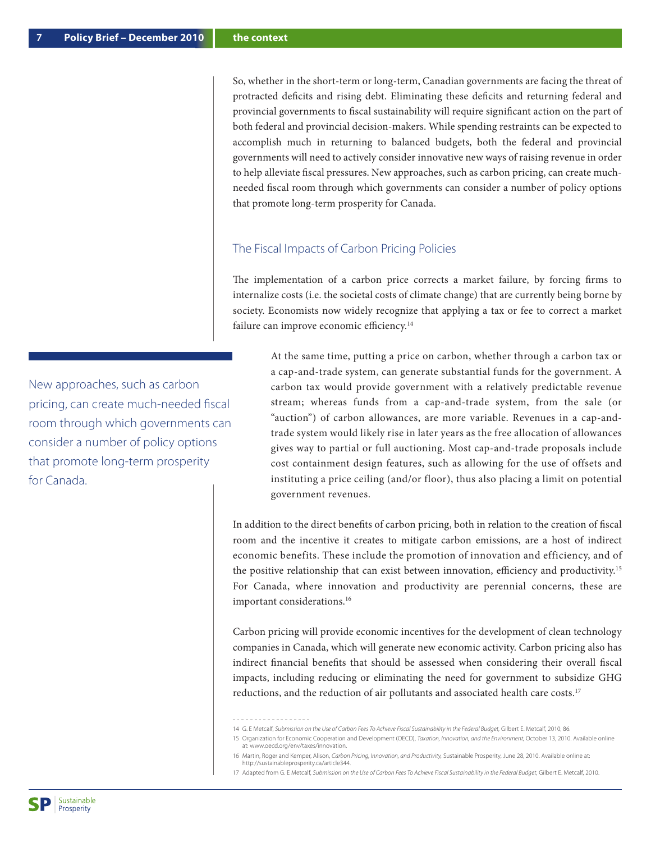So, whether in the short-term or long-term, Canadian governments are facing the threat of protracted deficits and rising debt. Eliminating these deficits and returning federal and provincial governments to fiscal sustainability will require significant action on the part of both federal and provincial decision-makers. While spending restraints can be expected to accomplish much in returning to balanced budgets, both the federal and provincial governments will need to actively consider innovative new ways of raising revenue in order to help alleviate fiscal pressures. New approaches, such as carbon pricing, can create muchneeded fiscal room through which governments can consider a number of policy options that promote long-term prosperity for Canada.

#### The Fiscal Impacts of Carbon Pricing Policies

The implementation of a carbon price corrects a market failure, by forcing firms to internalize costs (i.e. the societal costs of climate change) that are currently being borne by society. Economists now widely recognize that applying a tax or fee to correct a market failure can improve economic efficiency.<sup>14</sup>

At the same time, putting a price on carbon, whether through a carbon tax or a cap-and-trade system, can generate substantial funds for the government. A carbon tax would provide government with a relatively predictable revenue stream; whereas funds from a cap-and-trade system, from the sale (or "auction") of carbon allowances, are more variable. Revenues in a cap-andtrade system would likely rise in later years as the free allocation of allowances gives way to partial or full auctioning. Most cap-and-trade proposals include cost containment design features, such as allowing for the use of offsets and instituting a price ceiling (and/or floor), thus also placing a limit on potential government revenues.

In addition to the direct benefits of carbon pricing, both in relation to the creation of fiscal room and the incentive it creates to mitigate carbon emissions, are a host of indirect economic benefits. These include the promotion of innovation and efficiency, and of the positive relationship that can exist between innovation, efficiency and productivity.15 For Canada, where innovation and productivity are perennial concerns, these are important considerations.<sup>16</sup>

Carbon pricing will provide economic incentives for the development of clean technology companies in Canada, which will generate new economic activity. Carbon pricing also has indirect financial benefits that should be assessed when considering their overall fiscal impacts, including reducing or eliminating the need for government to subsidize GHG reductions, and the reduction of air pollutants and associated health care costs.<sup>17</sup>

14 G. E Metcalf, *Submission on the Use of Carbon Fees To Achieve Fiscal Sustainability in the Federal Budget,* Gilbert E. Metcalf, 2010, 86.

New approaches, such as carbon pricing, can create much-needed fiscal room through which governments can consider a number of policy options that promote long-term prosperity for Canada.

<sup>15</sup> Organization for Economic Cooperation and Development (OECD), *Taxation, Innovation, and the Environment,* October 13, 2010. Available online at: www.oecd.org/env/taxes/innovation.

<sup>16</sup> Martin, Roger and Kemper, Alison, *Carbon Pricing, Innovation, and Productivity,* Sustainable Prosperity, June 28, 2010. Available online at: http://sustainableprosperity.ca/article344.

<sup>17</sup> Adapted from G. E Metcalf, *Submission on the Use of Carbon Fees To Achieve Fiscal Sustainability in the Federal Budget,* Gilbert E. Metcalf, 2010.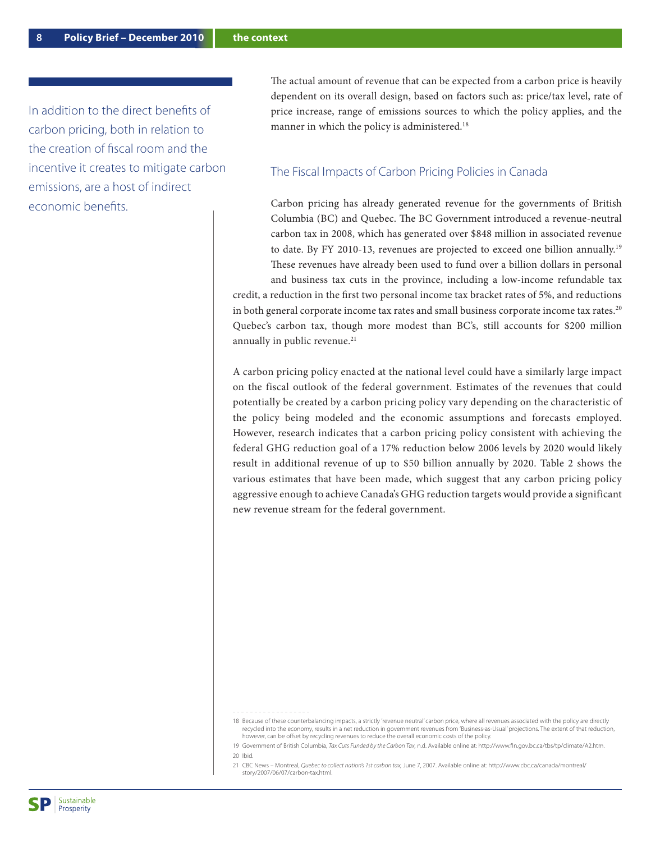In addition to the direct benefits of carbon pricing, both in relation to the creation of fiscal room and the incentive it creates to mitigate carbon emissions, are a host of indirect economic benefits.

The actual amount of revenue that can be expected from a carbon price is heavily dependent on its overall design, based on factors such as: price/tax level, rate of price increase, range of emissions sources to which the policy applies, and the manner in which the policy is administered.<sup>18</sup>

#### The Fiscal Impacts of Carbon Pricing Policies in Canada

Carbon pricing has already generated revenue for the governments of British Columbia (BC) and Quebec. The BC Government introduced a revenue-neutral carbon tax in 2008, which has generated over \$848 million in associated revenue to date. By FY 2010-13, revenues are projected to exceed one billion annually.19 These revenues have already been used to fund over a billion dollars in personal and business tax cuts in the province, including a low-income refundable tax

credit, a reduction in the first two personal income tax bracket rates of 5%, and reductions in both general corporate income tax rates and small business corporate income tax rates.<sup>20</sup> Quebec's carbon tax, though more modest than BC's, still accounts for \$200 million annually in public revenue.<sup>21</sup>

A carbon pricing policy enacted at the national level could have a similarly large impact on the fiscal outlook of the federal government. Estimates of the revenues that could potentially be created by a carbon pricing policy vary depending on the characteristic of the policy being modeled and the economic assumptions and forecasts employed. However, research indicates that a carbon pricing policy consistent with achieving the federal GHG reduction goal of a 17% reduction below 2006 levels by 2020 would likely result in additional revenue of up to \$50 billion annually by 2020. Table 2 shows the various estimates that have been made, which suggest that any carbon pricing policy aggressive enough to achieve Canada's GHG reduction targets would provide a significant new revenue stream for the federal government.

21 CBC News – Montreal, *Quebec to collect nation's 1st carbon tax,* June 7, 2007. Available online at: http://www.cbc.ca/canada/montreal/ story/2007/06/07/carbon-tax.html.

<sup>18</sup> Because of these counterbalancing impacts, a strictly 'revenue neutral' carbon price, where all revenues associated with the policy are directly recycled into the economy, results in a net reduction in government revenues from 'Business-as-Usual' projections. The extent of that reduction, however, can be offset by recycling revenues to reduce the overall economic costs of the policy.

<sup>19</sup> Government of British Columbia, *Tax Cuts Funded by the Carbon Tax,* n.d. Available online at: http://www.fin.gov.bc.ca/tbs/tp/climate/A2.htm. 20 Ibid.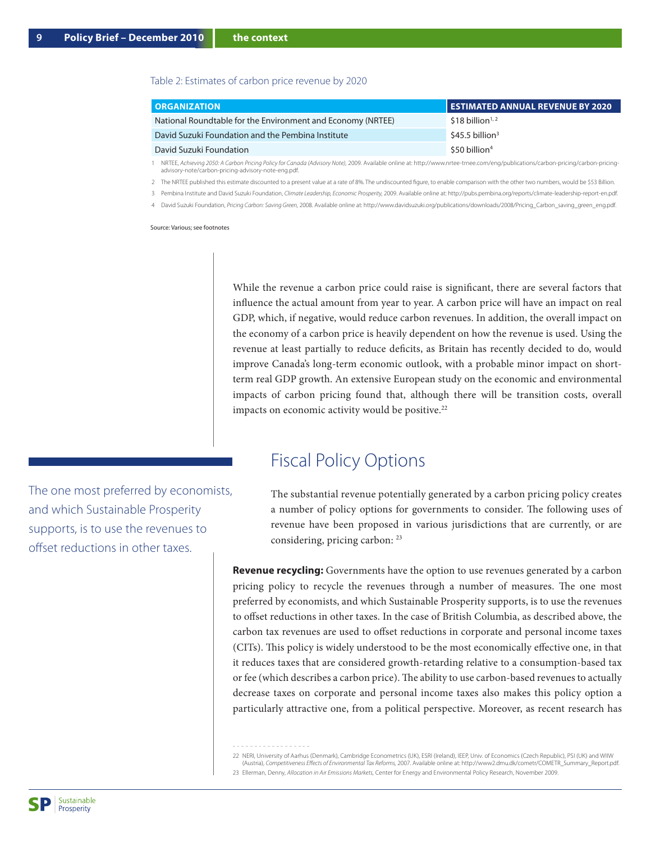#### Table 2: Estimates of carbon price revenue by 2020

| <b>ORGANIZATION</b>                                         | I ESTIMATED ANNUAL REVENUE BY 2020' |
|-------------------------------------------------------------|-------------------------------------|
| National Roundtable for the Environment and Economy (NRTEE) | $$18$ billion <sup>1,2</sup>        |
| David Suzuki Foundation and the Pembina Institute           | $$45.5$ billion <sup>3</sup>        |
| David Suzuki Foundation                                     | $$50$ billion <sup>4</sup>          |

1 NRTEE, *Achieving 2050: A Carbon Pricing Policy for Canada (Advisory Note),* 2009. Available online at: http://www.nrtee-trnee.com/eng/publications/carbon-pricing/carbon-pricingadvisory-note/carbon-pricing-advisory-note-eng.pdf.

2 The NRTEE published this estimate discounted to a present value at a rate of 8%. The undiscounted figure, to enable comparison with the other two numbers, would be \$53 Billion.

3 Pembina Institute and David Suzuki Foundation, *Climate Leadership, Economic Prosperity,* 2009. Available online at: http://pubs.pembina.org/reports/climate-leadership-report-en.pdf.

4 David Suzuki Foundation, *Pricing Carbon: Saving Green,* 2008. Available online at: http://www.davidsuzuki.org/publications/downloads/2008/Pricing\_Carbon\_saving\_green\_eng.pdf.

Source: Various; see footnotes

While the revenue a carbon price could raise is significant, there are several factors that influence the actual amount from year to year. A carbon price will have an impact on real GDP, which, if negative, would reduce carbon revenues. In addition, the overall impact on the economy of a carbon price is heavily dependent on how the revenue is used. Using the revenue at least partially to reduce deficits, as Britain has recently decided to do, would improve Canada's long-term economic outlook, with a probable minor impact on shortterm real GDP growth. An extensive European study on the economic and environmental impacts of carbon pricing found that, although there will be transition costs, overall impacts on economic activity would be positive.<sup>22</sup>

### Fiscal Policy Options

The substantial revenue potentially generated by a carbon pricing policy creates a number of policy options for governments to consider. The following uses of revenue have been proposed in various jurisdictions that are currently, or are considering, pricing carbon: 23

**Revenue recycling:** Governments have the option to use revenues generated by a carbon pricing policy to recycle the revenues through a number of measures. The one most preferred by economists, and which Sustainable Prosperity supports, is to use the revenues to offset reductions in other taxes. In the case of British Columbia, as described above, the carbon tax revenues are used to offset reductions in corporate and personal income taxes (CITs). This policy is widely understood to be the most economically effective one, in that it reduces taxes that are considered growth-retarding relative to a consumption-based tax or fee (which describes a carbon price). The ability to use carbon-based revenues to actually decrease taxes on corporate and personal income taxes also makes this policy option a particularly attractive one, from a political perspective. Moreover, as recent research has

The one most preferred by economists, and which Sustainable Prosperity supports, is to use the revenues to offset reductions in other taxes.

<sup>22</sup> NERI, University of Aarhus (Denmark), Cambridge Econometrics (UK), ESRI (Ireland), IEEP, Univ. of Economics (Czech Republic), PSI (UK) and WIIW (Austria), *Competitiveness Effects of Environmental Tax Reforms,* 2007. Available online at: http://www2.dmu.dk/cometr/COMETR\_Summary\_Report.pdf. 23 Ellerman, Denny, *Allocation in Air Emissions Markets,* Center for Energy and Environmental Policy Research, November 2009.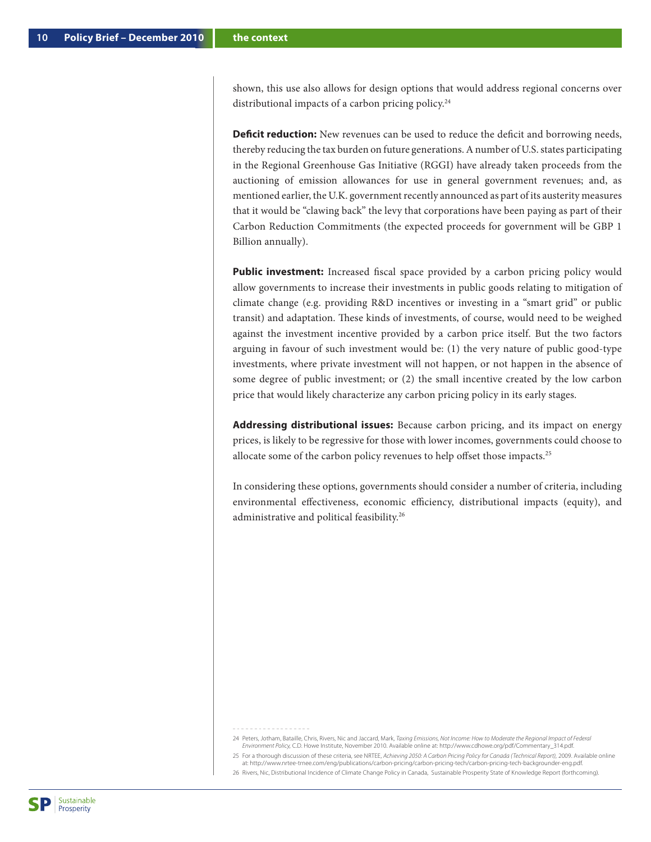shown, this use also allows for design options that would address regional concerns over distributional impacts of a carbon pricing policy.<sup>24</sup>

**Deficit reduction:** New revenues can be used to reduce the deficit and borrowing needs, thereby reducing the tax burden on future generations. A number of U.S. states participating in the Regional Greenhouse Gas Initiative (RGGI) have already taken proceeds from the auctioning of emission allowances for use in general government revenues; and, as mentioned earlier, the U.K. government recently announced as part of its austerity measures that it would be "clawing back" the levy that corporations have been paying as part of their Carbon Reduction Commitments (the expected proceeds for government will be GBP 1 Billion annually).

**Public investment:** Increased fiscal space provided by a carbon pricing policy would allow governments to increase their investments in public goods relating to mitigation of climate change (e.g. providing R&D incentives or investing in a "smart grid" or public transit) and adaptation. These kinds of investments, of course, would need to be weighed against the investment incentive provided by a carbon price itself. But the two factors arguing in favour of such investment would be: (1) the very nature of public good-type investments, where private investment will not happen, or not happen in the absence of some degree of public investment; or (2) the small incentive created by the low carbon price that would likely characterize any carbon pricing policy in its early stages.

**Addressing distributional issues:** Because carbon pricing, and its impact on energy prices, is likely to be regressive for those with lower incomes, governments could choose to allocate some of the carbon policy revenues to help offset those impacts.25

In considering these options, governments should consider a number of criteria, including environmental effectiveness, economic efficiency, distributional impacts (equity), and administrative and political feasibility.26

25 For a thorough discussion of these criteria, see NRTEE, *Achieving 2050: A Carbon Pricing Policy for Canada (Technical Report),* 2009. Available online at: http://www.nrtee-trnee.com/eng/publications/carbon-pricing/carbon-pricing-tech/carbon-pricing-tech-backgrounder-eng.pdf.

26 Rivers, Nic, Distributional Incidence of Climate Change Policy in Canada, Sustainable Prosperity State of Knowledge Report (forthcoming).

<sup>24</sup> Peters, Jotham, Bataille, Chris, Rivers, Nic and Jaccard, Mark, *Taxing Emissions, Not Income: How to Moderate the Regional Impact of Federal Environment Policy,* C.D. Howe Institute, November 2010. Available online at: http://www.cdhowe.org/pdf/Commentary\_314.pdf.